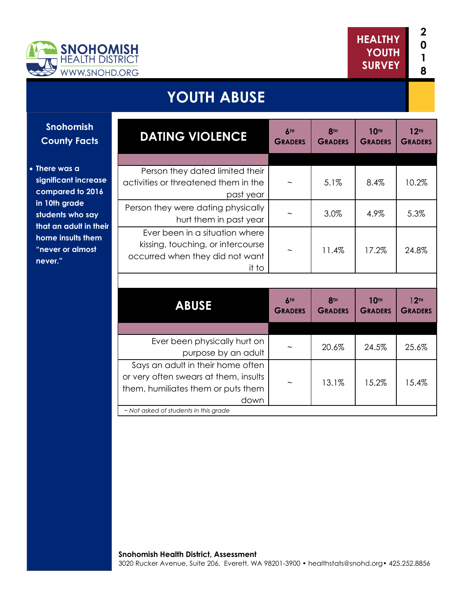

**There was a** 

## **YOUTH ABUSE**

| <b>Snohomish</b><br><b>County Facts</b>                                                                                                                                    | <b>DATING VIOLENCE</b>                                                                                                   | 6TH<br><b>GRADERS</b> | <b>8TH</b><br><b>GRADERS</b> | <b>10TH</b><br><b>GRADERS</b> | 12 <sup>TH</sup><br><b>GRADERS</b> |
|----------------------------------------------------------------------------------------------------------------------------------------------------------------------------|--------------------------------------------------------------------------------------------------------------------------|-----------------------|------------------------------|-------------------------------|------------------------------------|
|                                                                                                                                                                            |                                                                                                                          |                       |                              |                               |                                    |
| There was a<br>significant increase<br>compared to 2016<br>in 10th grade<br>students who say<br>that an adult in their<br>home insults them<br>"never or almost<br>never." | Person they dated limited their<br>activities or threatened them in the<br>past year                                     |                       | 5.1%                         | 8.4%                          | 10.2%                              |
|                                                                                                                                                                            | Person they were dating physically<br>hurt them in past year                                                             |                       | 3.0%                         | 4.9%                          | 5.3%                               |
|                                                                                                                                                                            | Ever been in a situation where<br>kissing, touching, or intercourse<br>occurred when they did not want<br>it to          |                       | 11.4%                        | 17.2%                         | 24.8%                              |
|                                                                                                                                                                            |                                                                                                                          |                       |                              |                               |                                    |
|                                                                                                                                                                            | <b>ABUSE</b>                                                                                                             | 6TH<br><b>GRADERS</b> | <b>8TH</b><br><b>GRADERS</b> | <b>10TH</b><br><b>GRADERS</b> | 12 <sup>TH</sup><br><b>GRADERS</b> |
|                                                                                                                                                                            |                                                                                                                          |                       |                              |                               |                                    |
|                                                                                                                                                                            | Ever been physically hurt on<br>purpose by an adult                                                                      |                       | 20.6%                        | 24.5%                         | 25.6%                              |
|                                                                                                                                                                            | Says an adult in their home often<br>or very often swears at them, insults<br>them, humiliates them or puts them<br>down |                       | 13.1%                        | 15.2%                         | 15.4%                              |
|                                                                                                                                                                            | ~ Not asked of students in this grade                                                                                    |                       |                              |                               |                                    |